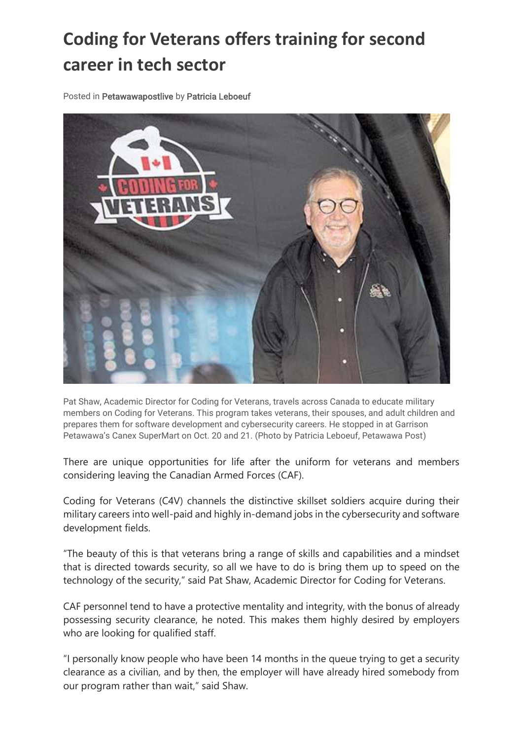## **Coding for Veterans offers training for second career in tech sector**

Posted in Petawawapostlive by Patricia Leboeuf



Pat Shaw, Academic Director for Coding for Veterans, travels across Canada to educate military members on Coding for Veterans. This program takes veterans, their spouses, and adult children and prepares them for software development and cybersecurity careers. He stopped in at Garrison Petawawa's Canex SuperMart on Oct. 20 and 21. (Photo by Patricia Leboeuf, Petawawa Post)

There are unique opportunities for life after the uniform for veterans and members considering leaving the Canadian Armed Forces (CAF).

Coding for Veterans (C4V) channels the distinctive skillset soldiers acquire during their military careers into well-paid and highly in-demand jobs in the cybersecurity and software development fields.

"The beauty of this is that veterans bring a range of skills and capabilities and a mindset that is directed towards security, so all we have to do is bring them up to speed on the technology of the security," said Pat Shaw, Academic Director for Coding for Veterans.

CAF personnel tend to have a protective mentality and integrity, with the bonus of already possessing security clearance, he noted. This makes them highly desired by employers who are looking for qualified staff.

"I personally know people who have been 14 months in the queue trying to get a security clearance as a civilian, and by then, the employer will have already hired somebody from our program rather than wait," said Shaw.